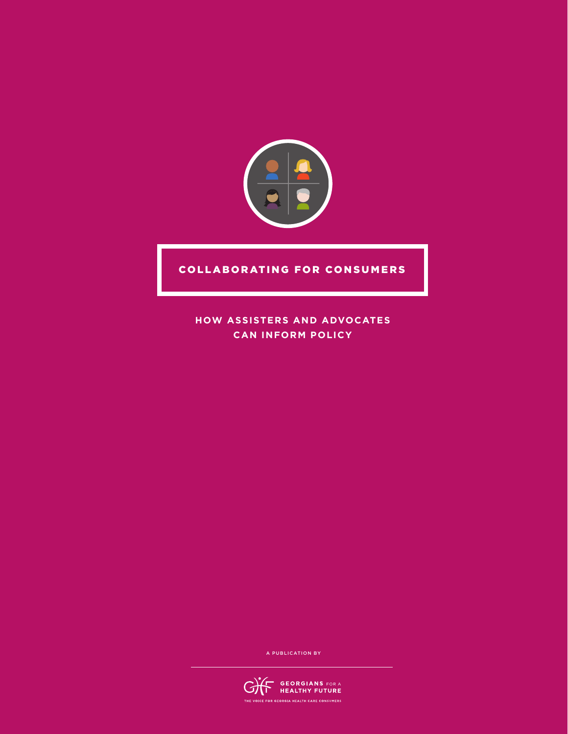

### COLLABORATING FOR CONSUMERS

**HOW ASSISTERS AND ADVOCATES CAN INFORM POLICY**

A PUBLICATION BY

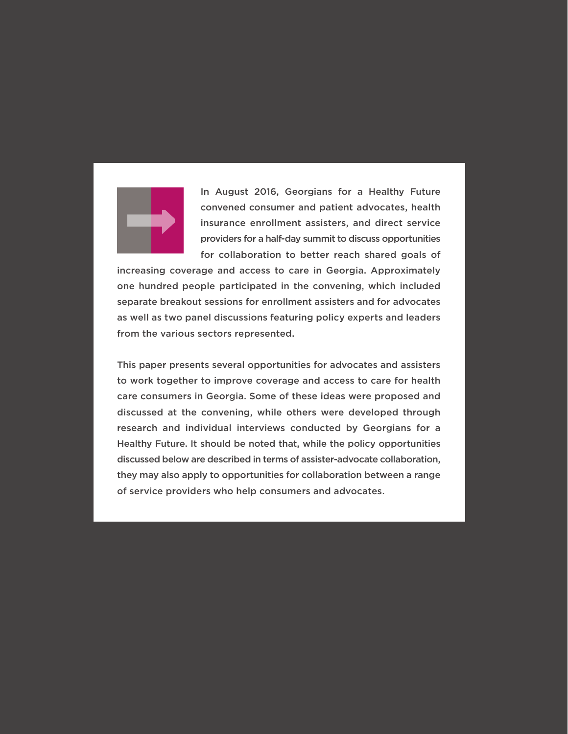

In August 2016, Georgians for a Healthy Future convened consumer and patient advocates, health insurance enrollment assisters, and direct service providers for a half-day summit to discuss opportunities for collaboration to better reach shared goals of

increasing coverage and access to care in Georgia. Approximately one hundred people participated in the convening, which included separate breakout sessions for enrollment assisters and for advocates as well as two panel discussions featuring policy experts and leaders from the various sectors represented.

This paper presents several opportunities for advocates and assisters to work together to improve coverage and access to care for health care consumers in Georgia. Some of these ideas were proposed and discussed at the convening, while others were developed through research and individual interviews conducted by Georgians for a Healthy Future. It should be noted that, while the policy opportunities discussed below are described in terms of assister-advocate collaboration, they may also apply to opportunities for collaboration between a range of service providers who help consumers and advocates.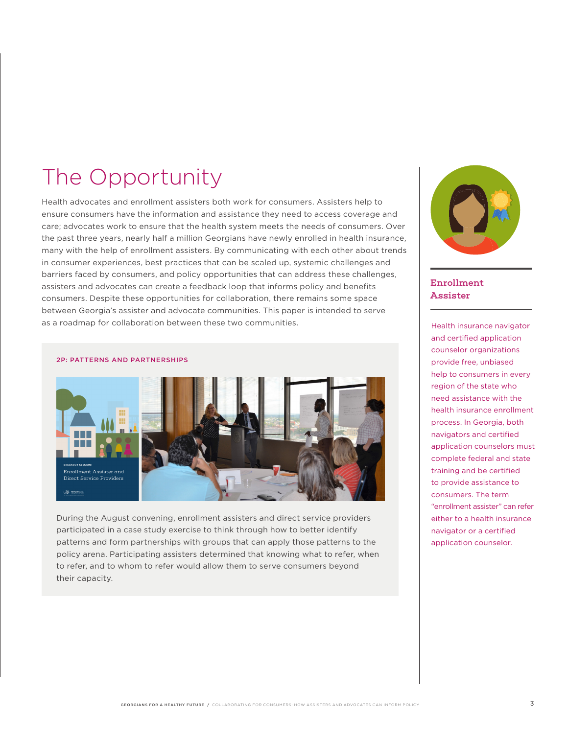### The Opportunity

Health advocates and enrollment assisters both work for consumers. Assisters help to ensure consumers have the information and assistance they need to access coverage and care; advocates work to ensure that the health system meets the needs of consumers. Over the past three years, nearly half a million Georgians have newly enrolled in health insurance, many with the help of enrollment assisters. By communicating with each other about trends in consumer experiences, best practices that can be scaled up, systemic challenges and barriers faced by consumers, and policy opportunities that can address these challenges, assisters and advocates can create a feedback loop that informs policy and benefits consumers. Despite these opportunities for collaboration, there remains some space between Georgia's assister and advocate communities. This paper is intended to serve as a roadmap for collaboration between these two communities.

#### 2P: PATTERNS AND PARTNERSHIPS



During the August convening, enrollment assisters and direct service providers participated in a case study exercise to think through how to better identify patterns and form partnerships with groups that can apply those patterns to the policy arena. Participating assisters determined that knowing what to refer, when to refer, and to whom to refer would allow them to serve consumers beyond their capacity.



### Enrollment **Assister**

Health insurance navigator and certified application counselor organizations provide free, unbiased help to consumers in every region of the state who need assistance with the health insurance enrollment process. In Georgia, both navigators and certified application counselors must complete federal and state training and be certified to provide assistance to consumers. The term "enrollment assister" can refer either to a health insurance navigator or a certified application counselor.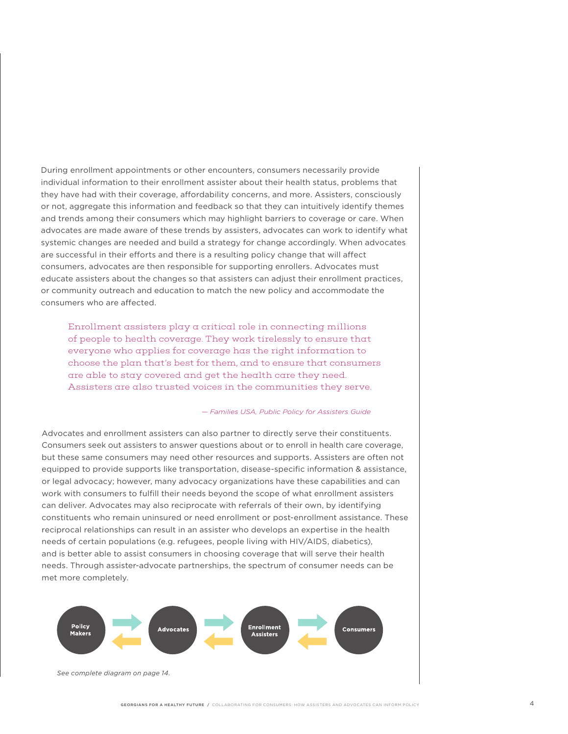During enrollment appointments or other encounters, consumers necessarily provide individual information to their enrollment assister about their health status, problems that they have had with their coverage, affordability concerns, and more. Assisters, consciously or not, aggregate this information and feedback so that they can intuitively identify themes and trends among their consumers which may highlight barriers to coverage or care. When advocates are made aware of these trends by assisters, advocates can work to identify what systemic changes are needed and build a strategy for change accordingly. When advocates are successful in their efforts and there is a resulting policy change that will affect consumers, advocates are then responsible for supporting enrollers. Advocates must educate assisters about the changes so that assisters can adjust their enrollment practices, or community outreach and education to match the new policy and accommodate the consumers who are affected.

Enrollment assisters play a critical role in connecting millions of people to health coverage. They work tirelessly to ensure that everyone who applies for coverage has the right information to choose the plan that's best for them, and to ensure that consumers are able to stay covered and get the health care they need. Assisters are also trusted voices in the communities they serve.

#### *— Families USA, Public Policy for Assisters Guide*

Advocates and enrollment assisters can also partner to directly serve their constituents. Consumers seek out assisters to answer questions about or to enroll in health care coverage, but these same consumers may need other resources and supports. Assisters are often not equipped to provide supports like transportation, disease-specific information & assistance, or legal advocacy; however, many advocacy organizations have these capabilities and can work with consumers to fulfill their needs beyond the scope of what enrollment assisters can deliver. Advocates may also reciprocate with referrals of their own, by identifying constituents who remain uninsured or need enrollment or post-enrollment assistance. These reciprocal relationships can result in an assister who develops an expertise in the health needs of certain populations (e.g. refugees, people living with HIV/AIDS, diabetics), and is better able to assist consumers in choosing coverage that will serve their health needs. Through assister-advocate partnerships, the spectrum of consumer needs can be met more completely.

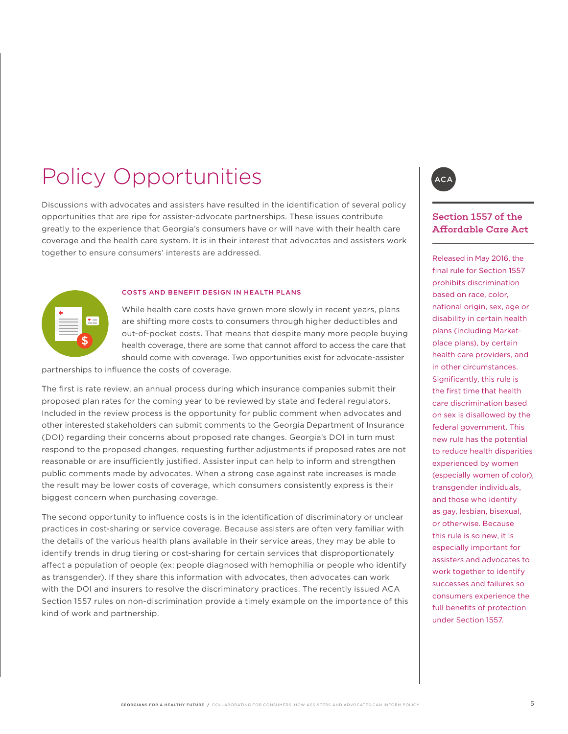# Policy Opportunities

Discussions with advocates and assisters have resulted in the identification of several policy opportunities that are ripe for assister-advocate partnerships. These issues contribute greatly to the experience that Georgia's consumers have or will have with their health care coverage and the health care system. It is in their interest that advocates and assisters work together to ensure consumers' interests are addressed.



#### COSTS AND BENEFIT DESIGN IN HEALTH PLANS

While health care costs have grown more slowly in recent years, plans are shifting more costs to consumers through higher deductibles and out-of-pocket costs. That means that despite many more people buying health coverage, there are some that cannot afford to access the care that should come with coverage. Two opportunities exist for advocate-assister

partnerships to influence the costs of coverage.

The first is rate review, an annual process during which insurance companies submit their proposed plan rates for the coming year to be reviewed by state and federal regulators. Included in the review process is the opportunity for public comment when advocates and other interested stakeholders can submit comments to the Georgia Department of Insurance (DOI) regarding their concerns about proposed rate changes. Georgia's DOI in turn must respond to the proposed changes, requesting further adjustments if proposed rates are not reasonable or are insufficiently justified. Assister input can help to inform and strengthen public comments made by advocates. When a strong case against rate increases is made the result may be lower costs of coverage, which consumers consistently express is their biggest concern when purchasing coverage.

The second opportunity to influence costs is in the identification of discriminatory or unclear practices in cost-sharing or service coverage. Because assisters are often very familiar with the details of the various health plans available in their service areas, they may be able to identify trends in drug tiering or cost-sharing for certain services that disproportionately affect a population of people (ex: people diagnosed with hemophilia or people who identify as transgender). If they share this information with advocates, then advocates can work with the DOI and insurers to resolve the discriminatory practices. The recently issued ACA Section 1557 rules on non-discrimination provide a timely example on the importance of this kind of work and partnership.



### Section 1557 of the Affordable Care Act

Released in May 2016, the final rule for Section 1557 prohibits discrimination based on race, color, national origin, sex, age or disability in certain health plans (including Marketplace plans), by certain health care providers, and in other circumstances. Significantly, this rule is the first time that health care discrimination based on sex is disallowed by the federal government. This new rule has the potential to reduce health disparities experienced by women (especially women of color), transgender individuals, and those who identify as gay, lesbian, bisexual, or otherwise. Because this rule is so new, it is especially important for assisters and advocates to work together to identify successes and failures so consumers experience the full benefits of protection under Section 1557.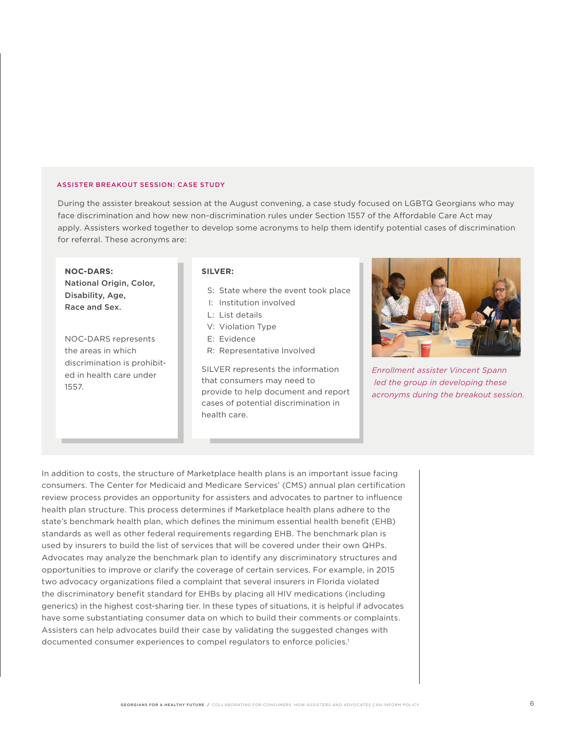#### ASSISTER BREAKOUT SESSION: CASE STUDY

During the assister breakout session at the August convening, a case study focused on LGBTQ Georgians who may face discrimination and how new non-discrimination rules under Section 1557 of the Affordable Care Act may apply. Assisters worked together to develop some acronyms to help them identify potential cases of discrimination for referral. These acronyms are:

 **NOC-DARS:**  National Origin, Color, Disability, Age, Race and Sex.

NOC-DARS represents the areas in which discrimination is prohibited in health care under 1557.

#### **SILVER:**

- S: State where the event took place
- I: Institution involved
- L: List details
- V: Violation Type
- E: Evidence
- R: Representative Involved

SILVER represents the information that consumers may need to provide to help document and report cases of potential discrimination in health care.



*Enrollment assister Vincent Spann led the group in developing these acronyms during the breakout session.*

In addition to costs, the structure of Marketplace health plans is an important issue facing consumers. The Center for Medicaid and Medicare Services' (CMS) annual plan certification review process provides an opportunity for assisters and advocates to partner to influence health plan structure. This process determines if Marketplace health plans adhere to the state's benchmark health plan, which defines the minimum essential health benefit (EHB) standards as well as other federal requirements regarding EHB. The benchmark plan is used by insurers to build the list of services that will be covered under their own QHPs. Advocates may analyze the benchmark plan to identify any discriminatory structures and opportunities to improve or clarify the coverage of certain services. For example, in 2015 two advocacy organizations filed a complaint that several insurers in Florida violated the discriminatory benefit standard for EHBs by placing all HIV medications (including generics) in the highest cost-sharing tier. In these types of situations, it is helpful if advocates have some substantiating consumer data on which to build their comments or complaints. Assisters can help advocates build their case by validating the suggested changes with documented consumer experiences to compel regulators to enforce policies.<sup>1</sup>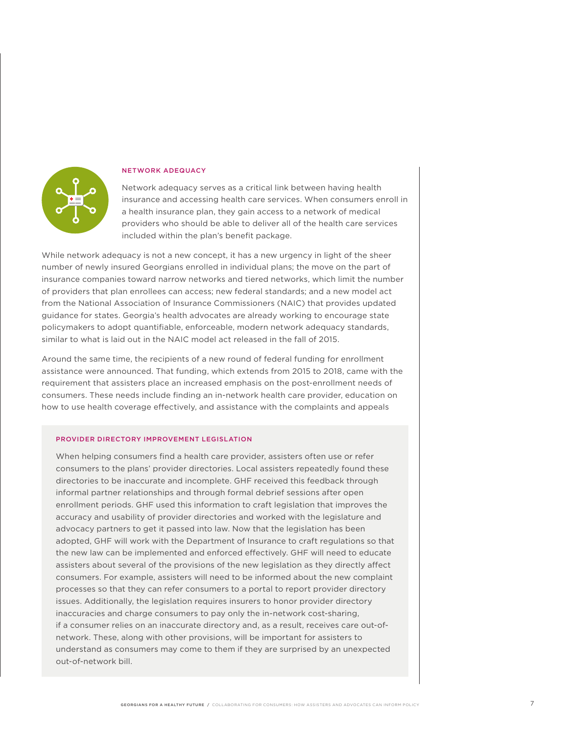

#### NETWORK ADEQUACY

Network adequacy serves as a critical link between having health insurance and accessing health care services. When consumers enroll in a health insurance plan, they gain access to a network of medical providers who should be able to deliver all of the health care services included within the plan's benefit package.

While network adequacy is not a new concept, it has a new urgency in light of the sheer number of newly insured Georgians enrolled in individual plans; the move on the part of insurance companies toward narrow networks and tiered networks, which limit the number of providers that plan enrollees can access; new federal standards; and a new model act from the National Association of Insurance Commissioners (NAIC) that provides updated guidance for states. Georgia's health advocates are already working to encourage state policymakers to adopt quantifiable, enforceable, modern network adequacy standards, similar to what is laid out in the NAIC model act released in the fall of 2015.

Around the same time, the recipients of a new round of federal funding for enrollment assistance were announced. That funding, which extends from 2015 to 2018, came with the requirement that assisters place an increased emphasis on the post-enrollment needs of consumers. These needs include finding an in-network health care provider, education on how to use health coverage effectively, and assistance with the complaints and appeals

#### PROVIDER DIRECTORY IMPROVEMENT LEGISLATION

When helping consumers find a health care provider, assisters often use or refer consumers to the plans' provider directories. Local assisters repeatedly found these directories to be inaccurate and incomplete. GHF received this feedback through informal partner relationships and through formal debrief sessions after open enrollment periods. GHF used this information to craft legislation that improves the accuracy and usability of provider directories and worked with the legislature and advocacy partners to get it passed into law. Now that the legislation has been adopted, GHF will work with the Department of Insurance to craft regulations so that the new law can be implemented and enforced effectively. GHF will need to educate assisters about several of the provisions of the new legislation as they directly affect consumers. For example, assisters will need to be informed about the new complaint processes so that they can refer consumers to a portal to report provider directory issues. Additionally, the legislation requires insurers to honor provider directory inaccuracies and charge consumers to pay only the in-network cost-sharing, if a consumer relies on an inaccurate directory and, as a result, receives care out-ofnetwork. These, along with other provisions, will be important for assisters to understand as consumers may come to them if they are surprised by an unexpected out-of-network bill.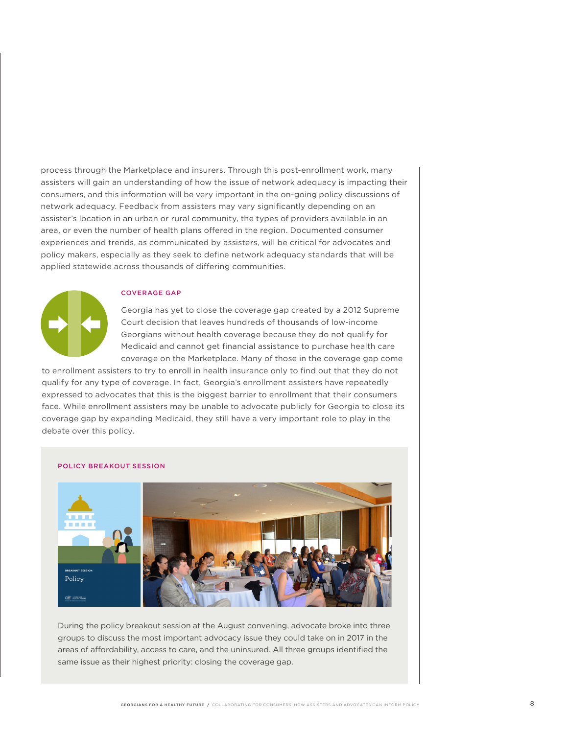process through the Marketplace and insurers. Through this post-enrollment work, many assisters will gain an understanding of how the issue of network adequacy is impacting their consumers, and this information will be very important in the on-going policy discussions of network adequacy. Feedback from assisters may vary significantly depending on an assister's location in an urban or rural community, the types of providers available in an area, or even the number of health plans offered in the region. Documented consumer experiences and trends, as communicated by assisters, will be critical for advocates and policy makers, especially as they seek to define network adequacy standards that will be applied statewide across thousands of differing communities.



#### COVERAGE GAP

Georgia has yet to close the coverage gap created by a 2012 Supreme Court decision that leaves hundreds of thousands of low-income Georgians without health coverage because they do not qualify for Medicaid and cannot get financial assistance to purchase health care coverage on the Marketplace. Many of those in the coverage gap come

to enrollment assisters to try to enroll in health insurance only to find out that they do not qualify for any type of coverage. In fact, Georgia's enrollment assisters have repeatedly expressed to advocates that this is the biggest barrier to enrollment that their consumers face. While enrollment assisters may be unable to advocate publicly for Georgia to close its coverage gap by expanding Medicaid, they still have a very important role to play in the debate over this policy.

#### POLICY BREAKOUT SESSION



During the policy breakout session at the August convening, advocate broke into three groups to discuss the most important advocacy issue they could take on in 2017 in the areas of affordability, access to care, and the uninsured. All three groups identified the same issue as their highest priority: closing the coverage gap.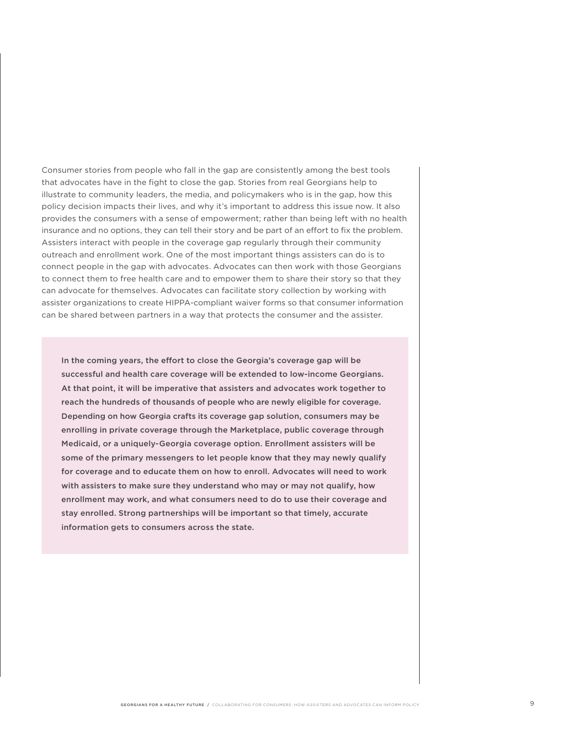Consumer stories from people who fall in the gap are consistently among the best tools that advocates have in the fight to close the gap. Stories from real Georgians help to illustrate to community leaders, the media, and policymakers who is in the gap, how this policy decision impacts their lives, and why it's important to address this issue now. It also provides the consumers with a sense of empowerment; rather than being left with no health insurance and no options, they can tell their story and be part of an effort to fix the problem. Assisters interact with people in the coverage gap regularly through their community outreach and enrollment work. One of the most important things assisters can do is to connect people in the gap with advocates. Advocates can then work with those Georgians to connect them to free health care and to empower them to share their story so that they can advocate for themselves. Advocates can facilitate story collection by working with assister organizations to create HIPPA-compliant waiver forms so that consumer information can be shared between partners in a way that protects the consumer and the assister.

In the coming years, the effort to close the Georgia's coverage gap will be successful and health care coverage will be extended to low-income Georgians. At that point, it will be imperative that assisters and advocates work together to reach the hundreds of thousands of people who are newly eligible for coverage. Depending on how Georgia crafts its coverage gap solution, consumers may be enrolling in private coverage through the Marketplace, public coverage through Medicaid, or a uniquely-Georgia coverage option. Enrollment assisters will be some of the primary messengers to let people know that they may newly qualify for coverage and to educate them on how to enroll. Advocates will need to work with assisters to make sure they understand who may or may not qualify, how enrollment may work, and what consumers need to do to use their coverage and stay enrolled. Strong partnerships will be important so that timely, accurate information gets to consumers across the state.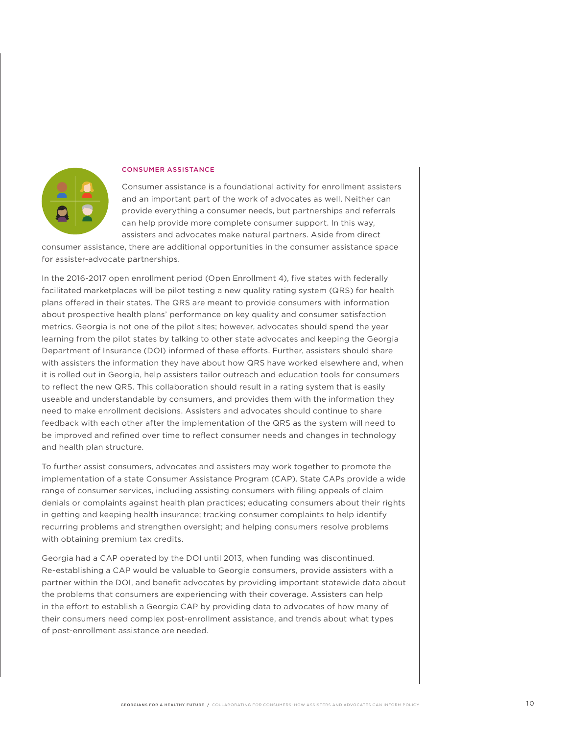

#### CONSUMER ASSISTANCE

Consumer assistance is a foundational activity for enrollment assisters and an important part of the work of advocates as well. Neither can provide everything a consumer needs, but partnerships and referrals can help provide more complete consumer support. In this way, assisters and advocates make natural partners. Aside from direct

consumer assistance, there are additional opportunities in the consumer assistance space for assister-advocate partnerships.

In the 2016-2017 open enrollment period (Open Enrollment 4), five states with federally facilitated marketplaces will be pilot testing a new quality rating system (QRS) for health plans offered in their states. The QRS are meant to provide consumers with information about prospective health plans' performance on key quality and consumer satisfaction metrics. Georgia is not one of the pilot sites; however, advocates should spend the year learning from the pilot states by talking to other state advocates and keeping the Georgia Department of Insurance (DOI) informed of these efforts. Further, assisters should share with assisters the information they have about how QRS have worked elsewhere and, when it is rolled out in Georgia, help assisters tailor outreach and education tools for consumers to reflect the new QRS. This collaboration should result in a rating system that is easily useable and understandable by consumers, and provides them with the information they need to make enrollment decisions. Assisters and advocates should continue to share feedback with each other after the implementation of the QRS as the system will need to be improved and refined over time to reflect consumer needs and changes in technology and health plan structure.

To further assist consumers, advocates and assisters may work together to promote the implementation of a state Consumer Assistance Program (CAP). State CAPs provide a wide range of consumer services, including assisting consumers with filing appeals of claim denials or complaints against health plan practices; educating consumers about their rights in getting and keeping health insurance; tracking consumer complaints to help identify recurring problems and strengthen oversight; and helping consumers resolve problems with obtaining premium tax credits.

Georgia had a CAP operated by the DOI until 2013, when funding was discontinued. Re-establishing a CAP would be valuable to Georgia consumers, provide assisters with a partner within the DOI, and benefit advocates by providing important statewide data about the problems that consumers are experiencing with their coverage. Assisters can help in the effort to establish a Georgia CAP by providing data to advocates of how many of their consumers need complex post-enrollment assistance, and trends about what types of post-enrollment assistance are needed.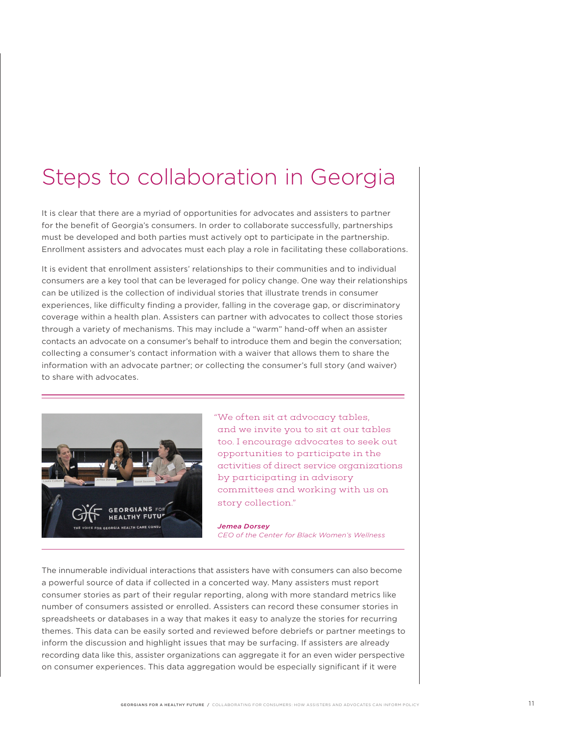## Steps to collaboration in Georgia

It is clear that there are a myriad of opportunities for advocates and assisters to partner for the benefit of Georgia's consumers. In order to collaborate successfully, partnerships must be developed and both parties must actively opt to participate in the partnership. Enrollment assisters and advocates must each play a role in facilitating these collaborations.

It is evident that enrollment assisters' relationships to their communities and to individual consumers are a key tool that can be leveraged for policy change. One way their relationships can be utilized is the collection of individual stories that illustrate trends in consumer experiences, like difficulty finding a provider, falling in the coverage gap, or discriminatory coverage within a health plan. Assisters can partner with advocates to collect those stories through a variety of mechanisms. This may include a "warm" hand-off when an assister contacts an advocate on a consumer's behalf to introduce them and begin the conversation; collecting a consumer's contact information with a waiver that allows them to share the information with an advocate partner; or collecting the consumer's full story (and waiver) to share with advocates.



 "We often sit at advocacy tables, and we invite you to sit at our tables too. I encourage advocates to seek out opportunities to participate in the activities of direct service organizations by participating in advisory committees and working with us on story collection."

#### *Jemea Dorsey CEO of the Center for Black Women's Wellness*

The innumerable individual interactions that assisters have with consumers can also become a powerful source of data if collected in a concerted way. Many assisters must report consumer stories as part of their regular reporting, along with more standard metrics like number of consumers assisted or enrolled. Assisters can record these consumer stories in spreadsheets or databases in a way that makes it easy to analyze the stories for recurring themes. This data can be easily sorted and reviewed before debriefs or partner meetings to inform the discussion and highlight issues that may be surfacing. If assisters are already recording data like this, assister organizations can aggregate it for an even wider perspective on consumer experiences. This data aggregation would be especially significant if it were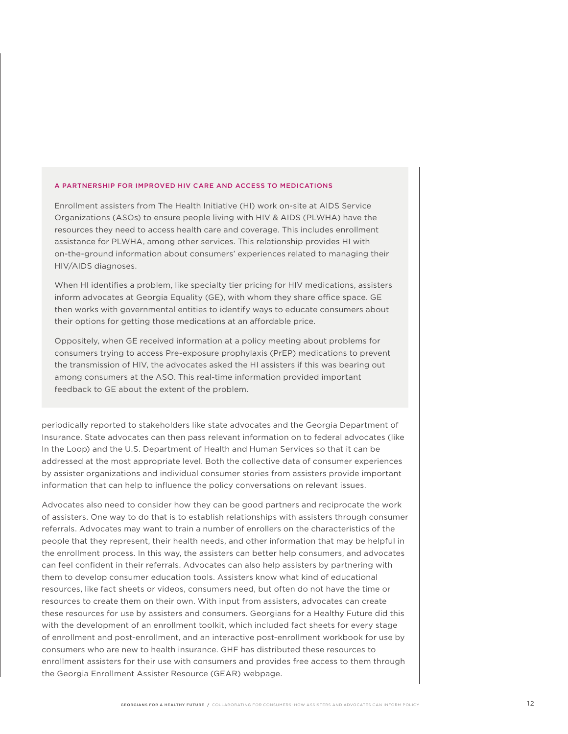#### A PARTNERSHIP FOR IMPROVED HIV CARE AND ACCESS TO MEDICATIONS

Enrollment assisters from The Health Initiative (HI) work on-site at AIDS Service Organizations (ASOs) to ensure people living with HIV & AIDS (PLWHA) have the resources they need to access health care and coverage. This includes enrollment assistance for PLWHA, among other services. This relationship provides HI with on-the-ground information about consumers' experiences related to managing their HIV/AIDS diagnoses.

When HI identifies a problem, like specialty tier pricing for HIV medications, assisters inform advocates at Georgia Equality (GE), with whom they share office space. GE then works with governmental entities to identify ways to educate consumers about their options for getting those medications at an affordable price.

Oppositely, when GE received information at a policy meeting about problems for consumers trying to access Pre-exposure prophylaxis (PrEP) medications to prevent the transmission of HIV, the advocates asked the HI assisters if this was bearing out among consumers at the ASO. This real-time information provided important feedback to GE about the extent of the problem.

periodically reported to stakeholders like state advocates and the Georgia Department of Insurance. State advocates can then pass relevant information on to federal advocates (like In the Loop) and the U.S. Department of Health and Human Services so that it can be addressed at the most appropriate level. Both the collective data of consumer experiences by assister organizations and individual consumer stories from assisters provide important information that can help to influence the policy conversations on relevant issues.

Advocates also need to consider how they can be good partners and reciprocate the work of assisters. One way to do that is to establish relationships with assisters through consumer referrals. Advocates may want to train a number of enrollers on the characteristics of the people that they represent, their health needs, and other information that may be helpful in the enrollment process. In this way, the assisters can better help consumers, and advocates can feel confident in their referrals. Advocates can also help assisters by partnering with them to develop consumer education tools. Assisters know what kind of educational resources, like fact sheets or videos, consumers need, but often do not have the time or resources to create them on their own. With input from assisters, advocates can create these resources for use by assisters and consumers. Georgians for a Healthy Future did this with the development of an enrollment toolkit, which included fact sheets for every stage of enrollment and post-enrollment, and an interactive post-enrollment workbook for use by consumers who are new to health insurance. GHF has distributed these resources to enrollment assisters for their use with consumers and provides free access to them through the Georgia Enrollment Assister Resource (GEAR) webpage.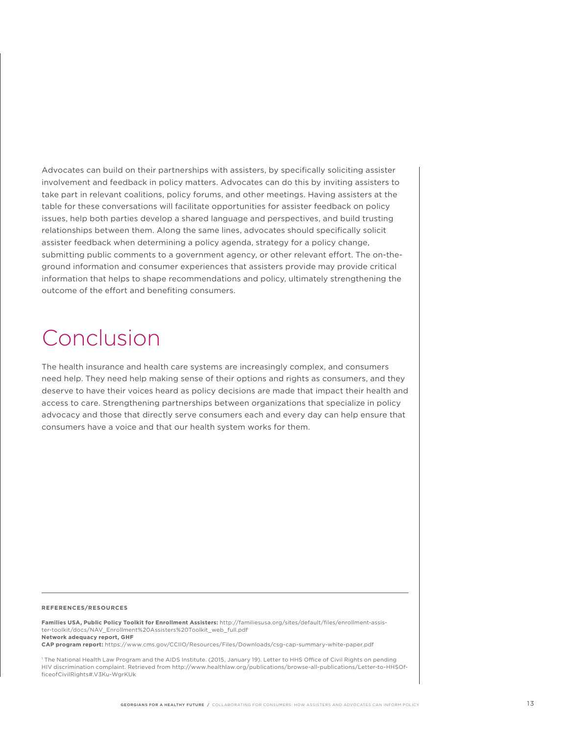Advocates can build on their partnerships with assisters, by specifically soliciting assister involvement and feedback in policy matters. Advocates can do this by inviting assisters to take part in relevant coalitions, policy forums, and other meetings. Having assisters at the table for these conversations will facilitate opportunities for assister feedback on policy issues, help both parties develop a shared language and perspectives, and build trusting relationships between them. Along the same lines, advocates should specifically solicit assister feedback when determining a policy agenda, strategy for a policy change, submitting public comments to a government agency, or other relevant effort. The on-theground information and consumer experiences that assisters provide may provide critical information that helps to shape recommendations and policy, ultimately strengthening the outcome of the effort and benefiting consumers.

# Conclusion

The health insurance and health care systems are increasingly complex, and consumers need help. They need help making sense of their options and rights as consumers, and they deserve to have their voices heard as policy decisions are made that impact their health and access to care. Strengthening partnerships between organizations that specialize in policy advocacy and those that directly serve consumers each and every day can help ensure that consumers have a voice and that our health system works for them.

#### **REFERENCES/RESOURCES**

**Families USA, Public Policy Toolkit for Enrollment Assisters:** http://familiesusa.org/sites/default/files/enrollment-assister-toolkit/docs/NAV\_Enrollment%20Assisters%20Toolkit\_web\_full.pdf **Network adequacy report, GHF** 

**CAP program report:** https://www.cms.gov/CCIIO/Resources/Files/Downloads/csg-cap-summary-white-paper.pdf

1 The National Health Law Program and the AIDS Institute. (2015, January 19). Letter to HHS Office of Civil Rights on pending HIV discrimination complaint. Retrieved from http://www.healthlaw.org/publications/browse-all-publications/Letter-to-HHSOfficeofCivilRights#.V3Ku-WgrKUk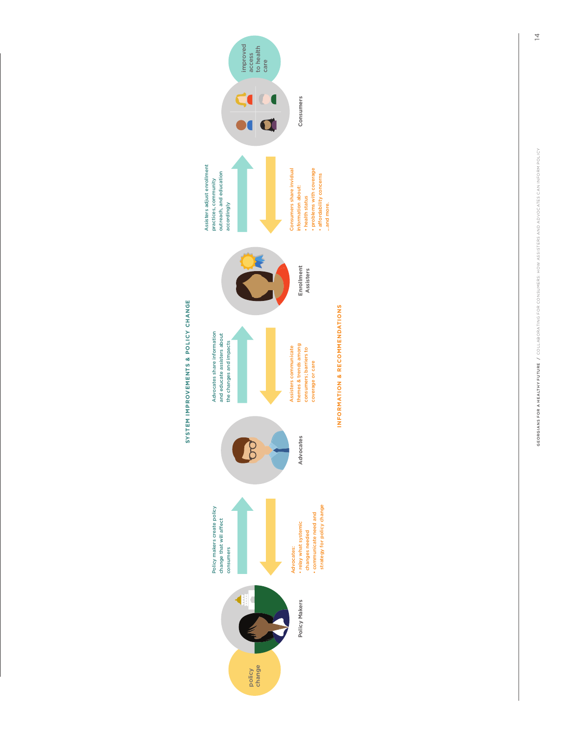

Assisters adjust enrollment



INFORMATION & RECOMMENDATIONS **INFORMATION & RECOMMENDATIONS**